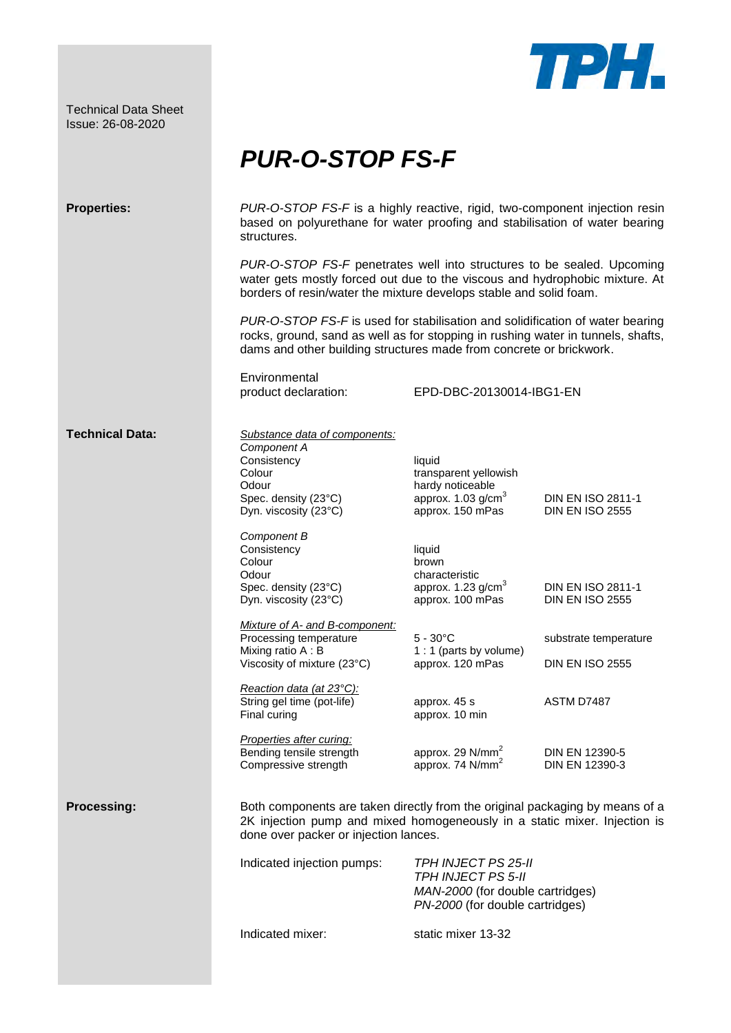Technical Data Sheet Issue: 26-08-2020



## *PUR-O-STOP FS-F*

| <b>Properties:</b>     | PUR-O-STOP FS-F is a highly reactive, rigid, two-component injection resin<br>based on polyurethane for water proofing and stabilisation of water bearing<br>structures.<br>PUR-O-STOP FS-F penetrates well into structures to be sealed. Upcoming<br>water gets mostly forced out due to the viscous and hydrophobic mixture. At<br>borders of resin/water the mixture develops stable and solid foam.<br>PUR-O-STOP FS-F is used for stabilisation and solidification of water bearing<br>rocks, ground, sand as well as for stopping in rushing water in tunnels, shafts,<br>dams and other building structures made from concrete or brickwork. |                                                                                                                                |                                                    |
|------------------------|-----------------------------------------------------------------------------------------------------------------------------------------------------------------------------------------------------------------------------------------------------------------------------------------------------------------------------------------------------------------------------------------------------------------------------------------------------------------------------------------------------------------------------------------------------------------------------------------------------------------------------------------------------|--------------------------------------------------------------------------------------------------------------------------------|----------------------------------------------------|
|                        |                                                                                                                                                                                                                                                                                                                                                                                                                                                                                                                                                                                                                                                     |                                                                                                                                |                                                    |
|                        |                                                                                                                                                                                                                                                                                                                                                                                                                                                                                                                                                                                                                                                     |                                                                                                                                |                                                    |
|                        | Environmental<br>EPD-DBC-20130014-IBG1-EN<br>product declaration:                                                                                                                                                                                                                                                                                                                                                                                                                                                                                                                                                                                   |                                                                                                                                |                                                    |
| <b>Technical Data:</b> | Substance data of components:<br>Component A<br>Consistency<br>Colour<br>Odour<br>Spec. density (23°C)<br>Dyn. viscosity (23°C)                                                                                                                                                                                                                                                                                                                                                                                                                                                                                                                     | liquid<br>transparent yellowish<br>hardy noticeable<br>approx. $1.03$ g/cm <sup>3</sup><br>approx. 150 mPas                    | <b>DIN EN ISO 2811-1</b><br><b>DIN EN ISO 2555</b> |
|                        | Component B<br>Consistency<br>Colour<br>Odour<br>Spec. density (23°C)<br>Dyn. viscosity (23°C)                                                                                                                                                                                                                                                                                                                                                                                                                                                                                                                                                      | liquid<br>brown<br>characteristic<br>approx. $1.23$ g/cm <sup>3</sup><br>approx. 100 mPas                                      | DIN EN ISO 2811-1<br><b>DIN EN ISO 2555</b>        |
|                        | Mixture of A- and B-component:<br>Processing temperature<br>Mixing ratio A: B<br>Viscosity of mixture (23°C)                                                                                                                                                                                                                                                                                                                                                                                                                                                                                                                                        | $5 - 30^{\circ}C$<br>1 : 1 (parts by volume)<br>approx. 120 mPas                                                               | substrate temperature<br><b>DIN EN ISO 2555</b>    |
|                        | Reaction data (at 23°C):<br>String gel time (pot-life)<br>Final curing                                                                                                                                                                                                                                                                                                                                                                                                                                                                                                                                                                              | approx. 45 s<br>approx. 10 min                                                                                                 | ASTM D7487                                         |
|                        | Properties after curing:<br>Bending tensile strength<br>Compressive strength                                                                                                                                                                                                                                                                                                                                                                                                                                                                                                                                                                        | approx. 29 N/mm <sup>2</sup><br>approx. 74 $N/mm^2$                                                                            | DIN EN 12390-5<br>DIN EN 12390-3                   |
| Processing:            | Both components are taken directly from the original packaging by means of a<br>2K injection pump and mixed homogeneously in a static mixer. Injection is<br>done over packer or injection lances.                                                                                                                                                                                                                                                                                                                                                                                                                                                  |                                                                                                                                |                                                    |
|                        | Indicated injection pumps:                                                                                                                                                                                                                                                                                                                                                                                                                                                                                                                                                                                                                          | <b>TPH INJECT PS 25-II</b><br><b>TPH INJECT PS 5-II</b><br>MAN-2000 (for double cartridges)<br>PN-2000 (for double cartridges) |                                                    |
|                        | Indicated mixer:                                                                                                                                                                                                                                                                                                                                                                                                                                                                                                                                                                                                                                    | static mixer 13-32                                                                                                             |                                                    |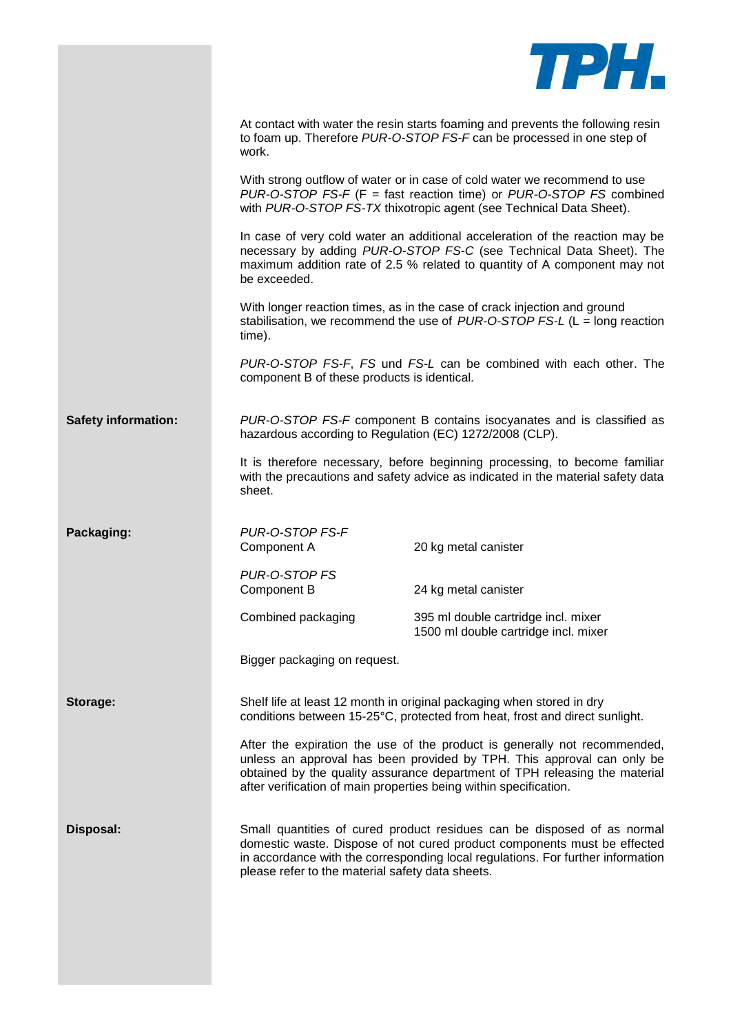|                            |                                                                                                                                                                                                                                                                                                        | 712 F.L                                                                                                                                                                                                                          |  |  |
|----------------------------|--------------------------------------------------------------------------------------------------------------------------------------------------------------------------------------------------------------------------------------------------------------------------------------------------------|----------------------------------------------------------------------------------------------------------------------------------------------------------------------------------------------------------------------------------|--|--|
|                            | At contact with water the resin starts foaming and prevents the following resin<br>to foam up. Therefore PUR-O-STOP FS-F can be processed in one step of<br>work.                                                                                                                                      |                                                                                                                                                                                                                                  |  |  |
|                            | With strong outflow of water or in case of cold water we recommend to use<br>PUR-O-STOP FS-F (F = fast reaction time) or PUR-O-STOP FS combined<br>with PUR-O-STOP FS-TX thixotropic agent (see Technical Data Sheet).                                                                                 |                                                                                                                                                                                                                                  |  |  |
|                            | be exceeded.                                                                                                                                                                                                                                                                                           | In case of very cold water an additional acceleration of the reaction may be<br>necessary by adding PUR-O-STOP FS-C (see Technical Data Sheet). The<br>maximum addition rate of 2.5 % related to quantity of A component may not |  |  |
|                            | With longer reaction times, as in the case of crack injection and ground<br>stabilisation, we recommend the use of $PUR$ -O-STOP FS-L (L = long reaction<br>time).                                                                                                                                     |                                                                                                                                                                                                                                  |  |  |
|                            | component B of these products is identical.                                                                                                                                                                                                                                                            | PUR-O-STOP FS-F, FS und FS-L can be combined with each other. The                                                                                                                                                                |  |  |
| <b>Safety information:</b> |                                                                                                                                                                                                                                                                                                        | PUR-O-STOP FS-F component B contains isocyanates and is classified as<br>hazardous according to Regulation (EC) 1272/2008 (CLP).                                                                                                 |  |  |
|                            | sheet.                                                                                                                                                                                                                                                                                                 | It is therefore necessary, before beginning processing, to become familiar<br>with the precautions and safety advice as indicated in the material safety data                                                                    |  |  |
| Packaging:                 | PUR-O-STOP FS-F<br>Component A                                                                                                                                                                                                                                                                         | 20 kg metal canister                                                                                                                                                                                                             |  |  |
|                            | PUR-O-STOP FS<br>Component B                                                                                                                                                                                                                                                                           | 24 kg metal canister                                                                                                                                                                                                             |  |  |
|                            | Combined packaging                                                                                                                                                                                                                                                                                     | 395 ml double cartridge incl. mixer<br>1500 ml double cartridge incl. mixer                                                                                                                                                      |  |  |
|                            | Bigger packaging on request.                                                                                                                                                                                                                                                                           |                                                                                                                                                                                                                                  |  |  |
| Storage:                   |                                                                                                                                                                                                                                                                                                        | Shelf life at least 12 month in original packaging when stored in dry<br>conditions between 15-25°C, protected from heat, frost and direct sunlight.                                                                             |  |  |
|                            | After the expiration the use of the product is generally not recommended,<br>unless an approval has been provided by TPH. This approval can only be<br>obtained by the quality assurance department of TPH releasing the material<br>after verification of main properties being within specification. |                                                                                                                                                                                                                                  |  |  |
| Disposal:                  | Small quantities of cured product residues can be disposed of as normal<br>domestic waste. Dispose of not cured product components must be effected<br>in accordance with the corresponding local regulations. For further information<br>please refer to the material safety data sheets.             |                                                                                                                                                                                                                                  |  |  |
|                            |                                                                                                                                                                                                                                                                                                        |                                                                                                                                                                                                                                  |  |  |